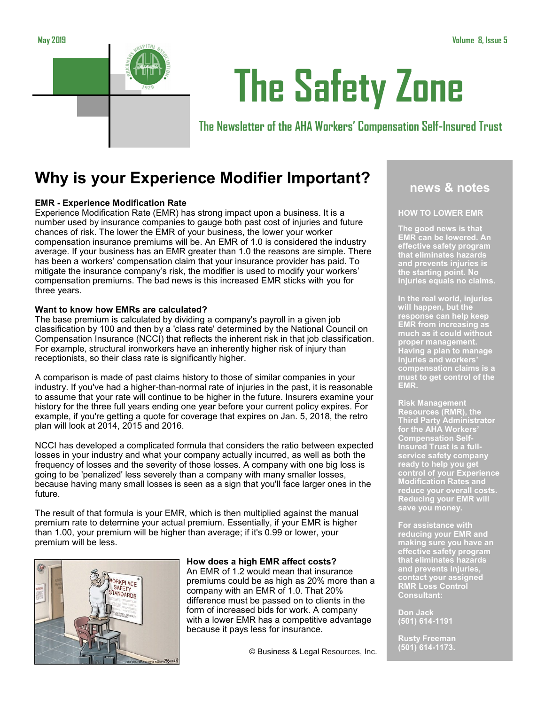

# **The Safety Zone**

**The Newsletter of the AHA Workers' Compensation Self-Insured Trust**

# **Why is your Experience Modifier Important?**

## **EMR - Experience Modification Rate**

Experience Modification Rate (EMR) has strong impact upon a business. It is a number used by insurance companies to gauge both past cost of injuries and future chances of risk. The lower the EMR of your business, the lower your worker compensation insurance premiums will be. An EMR of 1.0 is considered the industry average. If your business has an EMR greater than 1.0 the reasons are simple. There has been a workers' compensation claim that your insurance provider has paid. To mitigate the insurance company's risk, the modifier is used to modify your workers' compensation premiums. The bad news is this increased EMR sticks with you for three years.

## **Want to know how EMRs are calculated?**

The base premium is calculated by dividing a company's payroll in a given job classification by 100 and then by a 'class rate' determined by the National Council on Compensation Insurance (NCCI) that reflects the inherent risk in that job classification. For example, structural ironworkers have an inherently higher risk of injury than receptionists, so their class rate is significantly higher.

A comparison is made of past claims history to those of similar companies in your industry. If you've had a higher-than-normal rate of injuries in the past, it is reasonable to assume that your rate will continue to be higher in the future. Insurers examine your history for the three full years ending one year before your current policy expires. For example, if you're getting a quote for coverage that expires on Jan. 5, 2018, the retro plan will look at 2014, 2015 and 2016.

NCCI has developed a complicated formula that considers the ratio between expected losses in your industry and what your company actually incurred, as well as both the frequency of losses and the severity of those losses. A company with one big loss is going to be 'penalized' less severely than a company with many smaller losses, because having many small losses is seen as a sign that you'll face larger ones in the future.

The result of that formula is your EMR, which is then multiplied against the manual premium rate to determine your actual premium. Essentially, if your EMR is higher than 1.00, your premium will be higher than average; if it's 0.99 or lower, your premium will be less.



#### **How does a high EMR affect costs?**

An EMR of 1.2 would mean that insurance premiums could be as high as 20% more than a company with an EMR of 1.0. That 20% difference must be passed on to clients in the form of increased bids for work. A company with a lower EMR has a competitive advantage because it pays less for insurance.

© Business & Legal Resources, Inc.

## **news & notes**

## **HOW TO LOWER EMR**

**The good news is that EMR can be lowered. An effective safety program that eliminates hazards and prevents injuries is the starting point. No injuries equals no claims.** 

**In the real world, injuries will happen, but the response can help keep EMR from increasing as much as it could without proper management. Having a plan to manage injuries and workers' compensation claims is a must to get control of the EMR.** 

**Risk Management Resources (RMR), the Third Party Administrator for the AHA Workers' Compensation Self-Insured Trust is a fullservice safety company ready to help you get control of your Experience Modification Rates and reduce your overall costs. Reducing your EMR will save you money.**

**For assistance with reducing your EMR and making sure you have an effective safety program that eliminates hazards and prevents injuries, contact your assigned RMR Loss Control Consultant:**

**Don Jack (501) 614-1191**

**Rusty Freeman (501) 614-1173.**